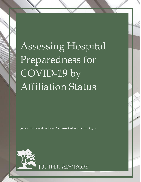Assessing Hospital Preparedness for COVID-19 by Affiliation Status

Jordan Shields, Andrew Blank, Alex Voss & Alexandra Normington



**JUNIPER ADVISORY**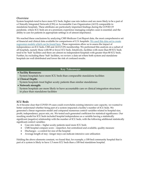## *Overview*

System hospitals tend to have more ICU beds, higher case mix indices and are more likely to be a part of a Clinically Integrated Network (CIN) or Accountable Care Organization (ACO) comparable to standalone hospitals. These attributes are particularly important findings during the COVID-19 pandemic, where ICU beds are at a premium; experience managing complex cases is essential; and the ability to care for patients in appropriate settings is of utmost importance.

We reached these conclusions by analyzing CMS Medicare Cost Report data, the most comprehensive set of financial and clinical data available for comparisons of U.S. hospitals. [We used this data set to create](http://www.juniperadvisory.com/wp-content/uploads/2020/05/Preparedness-for-COVID-by-Affiliation-Analysis-.pdf)  regression models [which can be found here.](http://www.juniperadvisory.com/wp-content/uploads/2020/05/Preparedness-for-COVID-by-Affiliation-Analysis-.pdf) These regressions allow us to assess the impact of independence on ICU beds, CMI and ACO/CIN membership. We performed this analysis on a subset of all hospitals, namely those with 80 or fewer ICU beds. Intuitively, facilities with more than 80 ICU beds tend to be 'hub' facilities and there are almost no independent hospitals with greater than 80 ICU beds. Further, by excluding these 'hub' facilities, we review a data set where both system and standalone hospitals are well distributed and lower the risk of confused results.

## **Key Takeaways**

# • **Facility Resources:** System hospitals have more ICU beds than comparable standalone facilities

- **Clinical Depth:** System hospitals treat higher acuity patients than similar standalones
- **Network strength:**

System hospitals are more likely to have accountable care or clinical integration structures in place than standalone facilities

# **ICU Beds**

As it became clear that COVID-19 cases could overwhelm existing intensive care capacity, we wanted to better understand whether being part of a system impacted a facility's number of ICU beds. We generated a linear regression model and compared numerous control variables related to hospital size, profit, independence, payor mix, etc. We tested each generated coefficient for statistical significance. Our resulting model for ICU beds included hospital independence as a variable having a statistically significant (negative) relationship with the number of ICU beds, with the following additional statistically significant control variables:

- Case mix index higher acuity patients need more ICU beds
- CMS hospital compare score imperfect, but centralized and available, quality measure
- Discharges a control for size of the hospital
- Average length of stay –longer stays can indicate intensive care utilization

Holding the above elements constant, we found that, for example, a 100-bed community hospital that is part of a system is likely to have 1.5 more ICU beds than a 100-bed standalone hospital.